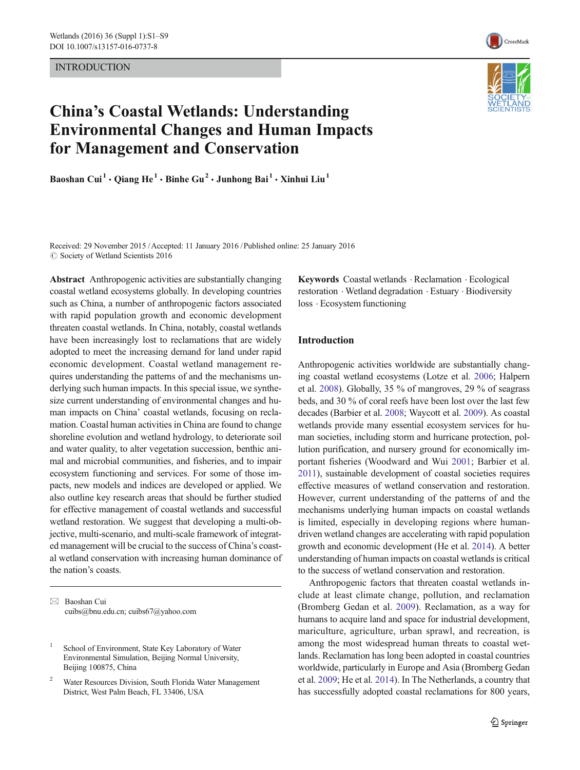INTRODUCTION



# China's Coastal Wetlands: Understanding Environmental Changes and Human Impacts for Management and Conservation

Baoshan Cui<sup>1</sup> · Qiang He<sup>1</sup> · Binhe Gu<sup>2</sup> · Junhong Bai<sup>1</sup> · Xinhui Liu<sup>1</sup>



Received: 29 November 2015 /Accepted: 11 January 2016 /Published online: 25 January 2016 C Society of Wetland Scientists 2016

Abstract Anthropogenic activities are substantially changing coastal wetland ecosystems globally. In developing countries such as China, a number of anthropogenic factors associated with rapid population growth and economic development threaten coastal wetlands. In China, notably, coastal wetlands have been increasingly lost to reclamations that are widely adopted to meet the increasing demand for land under rapid economic development. Coastal wetland management requires understanding the patterns of and the mechanisms underlying such human impacts. In this special issue, we synthesize current understanding of environmental changes and human impacts on China' coastal wetlands, focusing on reclamation. Coastal human activities in China are found to change shoreline evolution and wetland hydrology, to deteriorate soil and water quality, to alter vegetation succession, benthic animal and microbial communities, and fisheries, and to impair ecosystem functioning and services. For some of those impacts, new models and indices are developed or applied. We also outline key research areas that should be further studied for effective management of coastal wetlands and successful wetland restoration. We suggest that developing a multi-objective, multi-scenario, and multi-scale framework of integrated management will be crucial to the success of China's coastal wetland conservation with increasing human dominance of the nation's coasts.

 $\boxtimes$  Baoshan Cui cuibs@bnu.edu.cn; cuibs67@yahoo.com

<sup>1</sup> School of Environment, State Key Laboratory of Water Environmental Simulation, Beijing Normal University, Beijing 100875, China

Keywords Coastal wetlands . Reclamation . Ecological restoration . Wetland degradation . Estuary . Biodiversity loss . Ecosystem functioning

## Introduction

Anthropogenic activities worldwide are substantially changing coastal wetland ecosystems (Lotze et al. [2006;](#page-7-0) Halpern et al. [2008\)](#page-7-0). Globally, 35 % of mangroves, 29 % of seagrass beds, and 30 % of coral reefs have been lost over the last few decades (Barbier et al. [2008;](#page-6-0) Waycott et al. [2009\)](#page-7-0). As coastal wetlands provide many essential ecosystem services for human societies, including storm and hurricane protection, pollution purification, and nursery ground for economically important fisheries (Woodward and Wui [2001;](#page-7-0) Barbier et al. [2011](#page-6-0)), sustainable development of coastal societies requires effective measures of wetland conservation and restoration. However, current understanding of the patterns of and the mechanisms underlying human impacts on coastal wetlands is limited, especially in developing regions where humandriven wetland changes are accelerating with rapid population growth and economic development (He et al. [2014](#page-7-0)). A better understanding of human impacts on coastal wetlands is critical to the success of wetland conservation and restoration.

Anthropogenic factors that threaten coastal wetlands include at least climate change, pollution, and reclamation (Bromberg Gedan et al. [2009\)](#page-6-0). Reclamation, as a way for humans to acquire land and space for industrial development, mariculture, agriculture, urban sprawl, and recreation, is among the most widespread human threats to coastal wetlands. Reclamation has long been adopted in coastal countries worldwide, particularly in Europe and Asia (Bromberg Gedan et al. [2009](#page-6-0); He et al. [2014\)](#page-7-0). In The Netherlands, a country that has successfully adopted coastal reclamations for 800 years,

<sup>2</sup> Water Resources Division, South Florida Water Management District, West Palm Beach, FL 33406, USA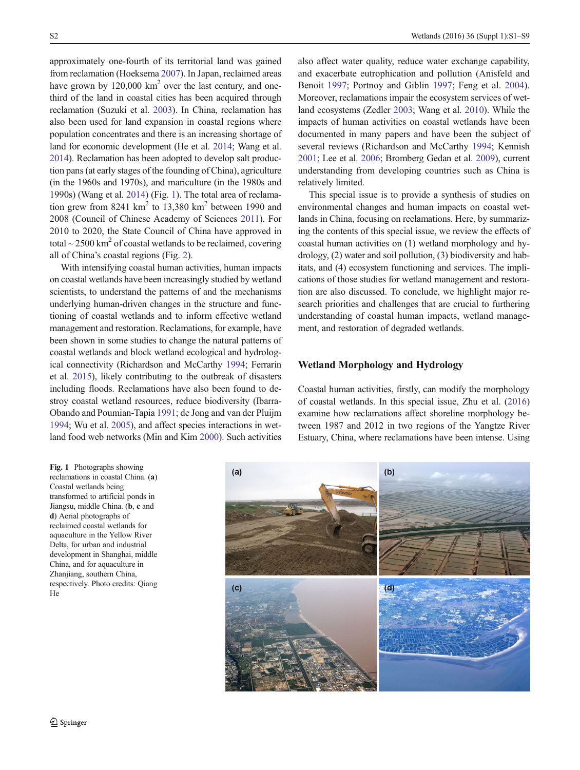approximately one-fourth of its territorial land was gained from reclamation (Hoeksema [2007](#page-7-0)). In Japan, reclaimed areas have grown by  $120,000 \text{ km}^2$  over the last century, and onethird of the land in coastal cities has been acquired through reclamation (Suzuki et al. [2003\)](#page-7-0). In China, reclamation has also been used for land expansion in coastal regions where population concentrates and there is an increasing shortage of land for economic development (He et al. [2014](#page-7-0); Wang et al. [2014\)](#page-7-0). Reclamation has been adopted to develop salt production pans (at early stages of the founding of China), agriculture (in the 1960s and 1970s), and mariculture (in the 1980s and 1990s) (Wang et al. [2014](#page-7-0)) (Fig. 1). The total area of reclamation grew from  $8241 \text{ km}^2$  to  $13,380 \text{ km}^2$  between 1990 and 2008 (Council of Chinese Academy of Sciences [2011\)](#page-6-0). For 2010 to 2020, the State Council of China have approved in total  $\sim$  2500 km<sup>2</sup> of coastal wetlands to be reclaimed, covering all of China's coastal regions (Fig. [2\)](#page-2-0).

With intensifying coastal human activities, human impacts on coastal wetlands have been increasingly studied by wetland scientists, to understand the patterns of and the mechanisms underlying human-driven changes in the structure and functioning of coastal wetlands and to inform effective wetland management and restoration. Reclamations, for example, have been shown in some studies to change the natural patterns of coastal wetlands and block wetland ecological and hydrological connectivity (Richardson and McCarthy [1994;](#page-7-0) Ferrarin et al. [2015](#page-7-0)), likely contributing to the outbreak of disasters including floods. Reclamations have also been found to destroy coastal wetland resources, reduce biodiversity (Ibarra-Obando and Poumian-Tapia [1991;](#page-7-0) de Jong and van der Pluijm [1994;](#page-7-0) Wu et al. [2005\)](#page-7-0), and affect species interactions in wetland food web networks (Min and Kim [2000\)](#page-7-0). Such activities

Fig. 1 Photographs showing reclamations in coastal China. (a) Coastal wetlands being transformed to artificial ponds in Jiangsu, middle China. (b, c and d) Aerial photographs of reclaimed coastal wetlands for aquaculture in the Yellow River Delta, for urban and industrial development in Shanghai, middle China, and for aquaculture in Zhanjiang, southern China, respectively. Photo credits: Qiang He

also affect water quality, reduce water exchange capability, and exacerbate eutrophication and pollution (Anisfeld and Benoit [1997](#page-6-0); Portnoy and Giblin [1997;](#page-7-0) Feng et al. [2004\)](#page-7-0). Moreover, reclamations impair the ecosystem services of wetland ecosystems (Zedler [2003;](#page-8-0) Wang et al. [2010](#page-7-0)). While the impacts of human activities on coastal wetlands have been documented in many papers and have been the subject of several reviews (Richardson and McCarthy [1994;](#page-7-0) Kennish [2001;](#page-7-0) Lee et al. [2006;](#page-7-0) Bromberg Gedan et al. [2009](#page-6-0)), current understanding from developing countries such as China is relatively limited.

This special issue is to provide a synthesis of studies on environmental changes and human impacts on coastal wetlands in China, focusing on reclamations. Here, by summarizing the contents of this special issue, we review the effects of coastal human activities on (1) wetland morphology and hydrology, (2) water and soil pollution, (3) biodiversity and habitats, and (4) ecosystem functioning and services. The implications of those studies for wetland management and restoration are also discussed. To conclude, we highlight major research priorities and challenges that are crucial to furthering understanding of coastal human impacts, wetland management, and restoration of degraded wetlands.

### Wetland Morphology and Hydrology

Coastal human activities, firstly, can modify the morphology of coastal wetlands. In this special issue, Zhu et al. [\(2016](#page-8-0)) examine how reclamations affect shoreline morphology between 1987 and 2012 in two regions of the Yangtze River Estuary, China, where reclamations have been intense. Using

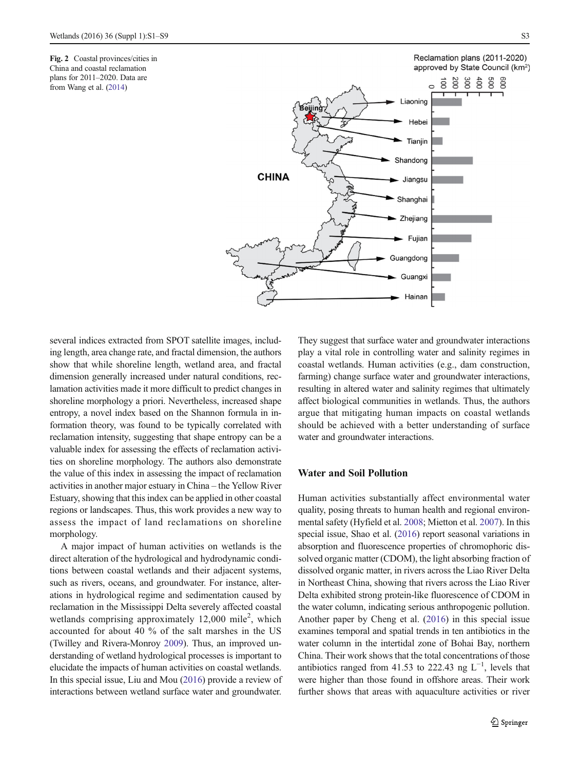<span id="page-2-0"></span>Fig. 2 Coastal provinces/cities in China and coastal reclamation plans for 2011–2020. Data are from Wang et al. [\(2014\)](#page-7-0)

Reclamation plans (2011-2020) approved by State Council (km<sup>2</sup>)



several indices extracted from SPOT satellite images, including length, area change rate, and fractal dimension, the authors show that while shoreline length, wetland area, and fractal dimension generally increased under natural conditions, reclamation activities made it more difficult to predict changes in shoreline morphology a priori. Nevertheless, increased shape entropy, a novel index based on the Shannon formula in information theory, was found to be typically correlated with reclamation intensity, suggesting that shape entropy can be a valuable index for assessing the effects of reclamation activities on shoreline morphology. The authors also demonstrate the value of this index in assessing the impact of reclamation activities in another major estuary in China – the Yellow River Estuary, showing that this index can be applied in other coastal regions or landscapes. Thus, this work provides a new way to assess the impact of land reclamations on shoreline morphology.

A major impact of human activities on wetlands is the direct alteration of the hydrological and hydrodynamic conditions between coastal wetlands and their adjacent systems, such as rivers, oceans, and groundwater. For instance, alterations in hydrological regime and sedimentation caused by reclamation in the Mississippi Delta severely affected coastal wetlands comprising approximately  $12,000$  mile<sup>2</sup>, which accounted for about 40 % of the salt marshes in the US (Twilley and Rivera-Monroy [2009](#page-7-0)). Thus, an improved understanding of wetland hydrological processes is important to elucidate the impacts of human activities on coastal wetlands. In this special issue, Liu and Mou [\(2016\)](#page-7-0) provide a review of interactions between wetland surface water and groundwater.

They suggest that surface water and groundwater interactions play a vital role in controlling water and salinity regimes in coastal wetlands. Human activities (e.g., dam construction, farming) change surface water and groundwater interactions, resulting in altered water and salinity regimes that ultimately affect biological communities in wetlands. Thus, the authors argue that mitigating human impacts on coastal wetlands should be achieved with a better understanding of surface water and groundwater interactions.

## Water and Soil Pollution

Human activities substantially affect environmental water quality, posing threats to human health and regional environmental safety (Hyfield et al. [2008;](#page-7-0) Mietton et al. [2007](#page-7-0)). In this special issue, Shao et al. [\(2016\)](#page-7-0) report seasonal variations in absorption and fluorescence properties of chromophoric dissolved organic matter (CDOM), the light absorbing fraction of dissolved organic matter, in rivers across the Liao River Delta in Northeast China, showing that rivers across the Liao River Delta exhibited strong protein-like fluorescence of CDOM in the water column, indicating serious anthropogenic pollution. Another paper by Cheng et al. ([2016\)](#page-6-0) in this special issue examines temporal and spatial trends in ten antibiotics in the water column in the intertidal zone of Bohai Bay, northern China. Their work shows that the total concentrations of those antibiotics ranged from 41.53 to 222.43 ng  $L^{-1}$ , levels that were higher than those found in offshore areas. Their work further shows that areas with aquaculture activities or river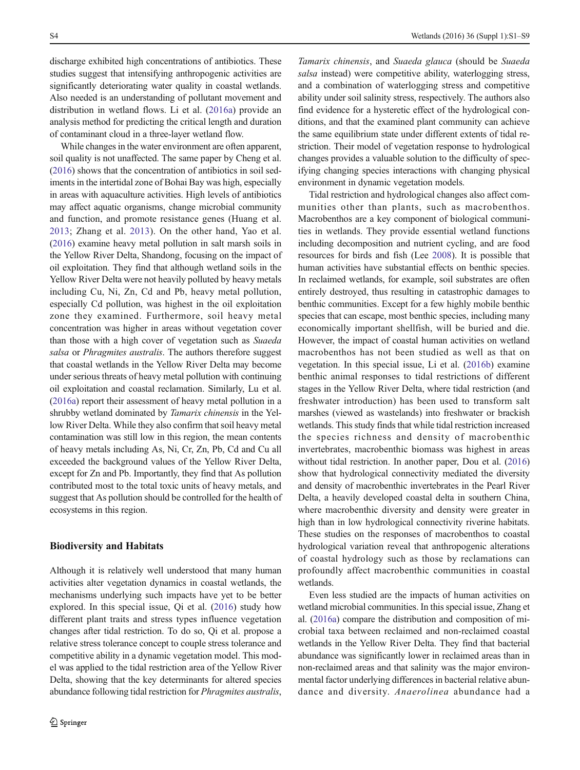discharge exhibited high concentrations of antibiotics. These studies suggest that intensifying anthropogenic activities are significantly deteriorating water quality in coastal wetlands. Also needed is an understanding of pollutant movement and distribution in wetland flows. Li et al. ([2016a\)](#page-7-0) provide an analysis method for predicting the critical length and duration of contaminant cloud in a three-layer wetland flow.

While changes in the water environment are often apparent, soil quality is not unaffected. The same paper by Cheng et al. [\(2016\)](#page-6-0) shows that the concentration of antibiotics in soil sediments in the intertidal zone of Bohai Bay was high, especially in areas with aquaculture activities. High levels of antibiotics may affect aquatic organisms, change microbial community and function, and promote resistance genes (Huang et al. [2013;](#page-7-0) Zhang et al. [2013](#page-8-0)). On the other hand, Yao et al. [\(2016\)](#page-8-0) examine heavy metal pollution in salt marsh soils in the Yellow River Delta, Shandong, focusing on the impact of oil exploitation. They find that although wetland soils in the Yellow River Delta were not heavily polluted by heavy metals including Cu, Ni, Zn, Cd and Pb, heavy metal pollution, especially Cd pollution, was highest in the oil exploitation zone they examined. Furthermore, soil heavy metal concentration was higher in areas without vegetation cover than those with a high cover of vegetation such as Suaeda salsa or Phragmites australis. The authors therefore suggest that coastal wetlands in the Yellow River Delta may become under serious threats of heavy metal pollution with continuing oil exploitation and coastal reclamation. Similarly, Lu et al. [\(2016a\)](#page-7-0) report their assessment of heavy metal pollution in a shrubby wetland dominated by Tamarix chinensis in the Yellow River Delta. While they also confirm that soil heavy metal contamination was still low in this region, the mean contents of heavy metals including As, Ni, Cr, Zn, Pb, Cd and Cu all exceeded the background values of the Yellow River Delta, except for Zn and Pb. Importantly, they find that As pollution contributed most to the total toxic units of heavy metals, and suggest that As pollution should be controlled for the health of ecosystems in this region.

#### Biodiversity and Habitats

Although it is relatively well understood that many human activities alter vegetation dynamics in coastal wetlands, the mechanisms underlying such impacts have yet to be better explored. In this special issue, Qi et al. ([2016\)](#page-7-0) study how different plant traits and stress types influence vegetation changes after tidal restriction. To do so, Qi et al. propose a relative stress tolerance concept to couple stress tolerance and competitive ability in a dynamic vegetation model. This model was applied to the tidal restriction area of the Yellow River Delta, showing that the key determinants for altered species abundance following tidal restriction for Phragmites australis,

Tamarix chinensis, and Suaeda glauca (should be Suaeda salsa instead) were competitive ability, waterlogging stress, and a combination of waterlogging stress and competitive ability under soil salinity stress, respectively. The authors also find evidence for a hysteretic effect of the hydrological conditions, and that the examined plant community can achieve the same equilibrium state under different extents of tidal restriction. Their model of vegetation response to hydrological changes provides a valuable solution to the difficulty of specifying changing species interactions with changing physical environment in dynamic vegetation models.

Tidal restriction and hydrological changes also affect communities other than plants, such as macrobenthos. Macrobenthos are a key component of biological communities in wetlands. They provide essential wetland functions including decomposition and nutrient cycling, and are food resources for birds and fish (Lee [2008\)](#page-7-0). It is possible that human activities have substantial effects on benthic species. In reclaimed wetlands, for example, soil substrates are often entirely destroyed, thus resulting in catastrophic damages to benthic communities. Except for a few highly mobile benthic species that can escape, most benthic species, including many economically important shellfish, will be buried and die. However, the impact of coastal human activities on wetland macrobenthos has not been studied as well as that on vegetation. In this special issue, Li et al. [\(2016b\)](#page-7-0) examine benthic animal responses to tidal restrictions of different stages in the Yellow River Delta, where tidal restriction (and freshwater introduction) has been used to transform salt marshes (viewed as wastelands) into freshwater or brackish wetlands. This study finds that while tidal restriction increased the species richness and density of macrobenthic invertebrates, macrobenthic biomass was highest in areas without tidal restriction. In another paper, Dou et al. [\(2016](#page-7-0)) show that hydrological connectivity mediated the diversity and density of macrobenthic invertebrates in the Pearl River Delta, a heavily developed coastal delta in southern China, where macrobenthic diversity and density were greater in high than in low hydrological connectivity riverine habitats. These studies on the responses of macrobenthos to coastal hydrological variation reveal that anthropogenic alterations of coastal hydrology such as those by reclamations can profoundly affect macrobenthic communities in coastal wetlands.

Even less studied are the impacts of human activities on wetland microbial communities. In this special issue, Zhang et al. ([2016a\)](#page-8-0) compare the distribution and composition of microbial taxa between reclaimed and non-reclaimed coastal wetlands in the Yellow River Delta. They find that bacterial abundance was significantly lower in reclaimed areas than in non-reclaimed areas and that salinity was the major environmental factor underlying differences in bacterial relative abundance and diversity. Anaerolinea abundance had a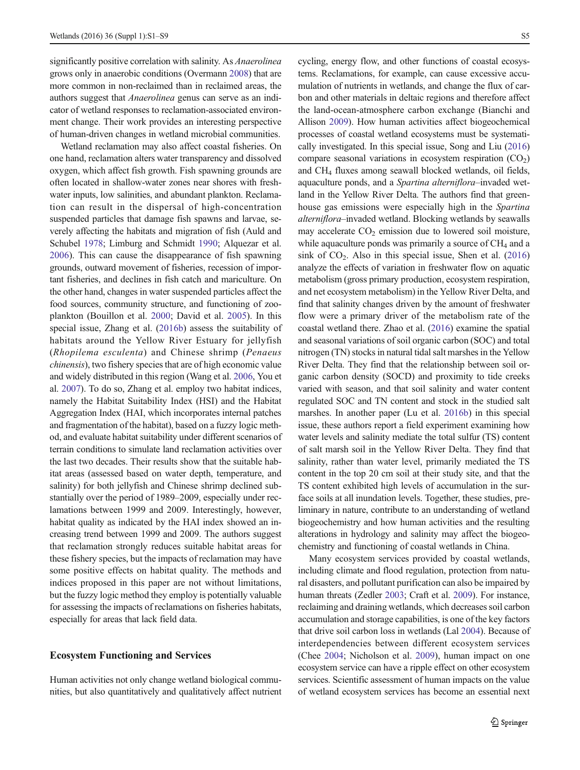significantly positive correlation with salinity. As *Anaerolinea* grows only in anaerobic conditions (Overmann [2008](#page-7-0)) that are more common in non-reclaimed than in reclaimed areas, the authors suggest that Anaerolinea genus can serve as an indicator of wetland responses to reclamation-associated environment change. Their work provides an interesting perspective of human-driven changes in wetland microbial communities.

Wetland reclamation may also affect coastal fisheries. On one hand, reclamation alters water transparency and dissolved oxygen, which affect fish growth. Fish spawning grounds are often located in shallow-water zones near shores with freshwater inputs, low salinities, and abundant plankton. Reclamation can result in the dispersal of high-concentration suspended particles that damage fish spawns and larvae, severely affecting the habitats and migration of fish (Auld and Schubel [1978;](#page-6-0) Limburg and Schmidt [1990](#page-7-0); Alquezar et al. [2006\)](#page-6-0). This can cause the disappearance of fish spawning grounds, outward movement of fisheries, recession of important fisheries, and declines in fish catch and mariculture. On the other hand, changes in water suspended particles affect the food sources, community structure, and functioning of zooplankton (Bouillon et al. [2000](#page-6-0); David et al. [2005](#page-7-0)). In this special issue, Zhang et al. [\(2016b](#page-8-0)) assess the suitability of habitats around the Yellow River Estuary for jellyfish (Rhopilema esculenta) and Chinese shrimp (Penaeus chinensis), two fishery species that are of high economic value and widely distributed in this region (Wang et al. [2006](#page-7-0), You et al. [2007\)](#page-8-0). To do so, Zhang et al. employ two habitat indices, namely the Habitat Suitability Index (HSI) and the Habitat Aggregation Index (HAI, which incorporates internal patches and fragmentation of the habitat), based on a fuzzy logic method, and evaluate habitat suitability under different scenarios of terrain conditions to simulate land reclamation activities over the last two decades. Their results show that the suitable habitat areas (assessed based on water depth, temperature, and salinity) for both jellyfish and Chinese shrimp declined substantially over the period of 1989–2009, especially under reclamations between 1999 and 2009. Interestingly, however, habitat quality as indicated by the HAI index showed an increasing trend between 1999 and 2009. The authors suggest that reclamation strongly reduces suitable habitat areas for these fishery species, but the impacts of reclamation may have some positive effects on habitat quality. The methods and indices proposed in this paper are not without limitations, but the fuzzy logic method they employ is potentially valuable for assessing the impacts of reclamations on fisheries habitats, especially for areas that lack field data.

## Ecosystem Functioning and Services

Human activities not only change wetland biological communities, but also quantitatively and qualitatively affect nutrient cycling, energy flow, and other functions of coastal ecosystems. Reclamations, for example, can cause excessive accumulation of nutrients in wetlands, and change the flux of carbon and other materials in deltaic regions and therefore affect the land-ocean-atmosphere carbon exchange (Bianchi and Allison [2009\)](#page-6-0). How human activities affect biogeochemical processes of coastal wetland ecosystems must be systematically investigated. In this special issue, Song and Liu [\(2016](#page-7-0)) compare seasonal variations in ecosystem respiration  $(CO<sub>2</sub>)$ and CH4 fluxes among seawall blocked wetlands, oil fields, aquaculture ponds, and a Spartina alterniflora-invaded wetland in the Yellow River Delta. The authors find that greenhouse gas emissions were especially high in the Spartina alterniflora–invaded wetland. Blocking wetlands by seawalls may accelerate  $CO<sub>2</sub>$  emission due to lowered soil moisture, while aquaculture ponds was primarily a source of  $CH<sub>4</sub>$  and a sink of  $CO<sub>2</sub>$ . Also in this special issue, Shen et al. [\(2016](#page-7-0)) analyze the effects of variation in freshwater flow on aquatic metabolism (gross primary production, ecosystem respiration, and net ecosystem metabolism) in the Yellow River Delta, and find that salinity changes driven by the amount of freshwater flow were a primary driver of the metabolism rate of the coastal wetland there. Zhao et al. ([2016](#page-8-0)) examine the spatial and seasonal variations of soil organic carbon (SOC) and total nitrogen (TN) stocks in natural tidal salt marshes in the Yellow River Delta. They find that the relationship between soil organic carbon density (SOCD) and proximity to tide creeks varied with season, and that soil salinity and water content regulated SOC and TN content and stock in the studied salt marshes. In another paper (Lu et al. [2016b](#page-7-0)) in this special issue, these authors report a field experiment examining how water levels and salinity mediate the total sulfur (TS) content of salt marsh soil in the Yellow River Delta. They find that salinity, rather than water level, primarily mediated the TS content in the top 20 cm soil at their study site, and that the TS content exhibited high levels of accumulation in the surface soils at all inundation levels. Together, these studies, preliminary in nature, contribute to an understanding of wetland biogeochemistry and how human activities and the resulting alterations in hydrology and salinity may affect the biogeochemistry and functioning of coastal wetlands in China.

Many ecosystem services provided by coastal wetlands, including climate and flood regulation, protection from natural disasters, and pollutant purification can also be impaired by human threats (Zedler [2003](#page-8-0); Craft et al. [2009](#page-6-0)). For instance, reclaiming and draining wetlands, which decreases soil carbon accumulation and storage capabilities, is one of the key factors that drive soil carbon loss in wetlands (Lal [2004](#page-7-0)). Because of interdependencies between different ecosystem services (Chee [2004;](#page-6-0) Nicholson et al. [2009\)](#page-7-0), human impact on one ecosystem service can have a ripple effect on other ecosystem services. Scientific assessment of human impacts on the value of wetland ecosystem services has become an essential next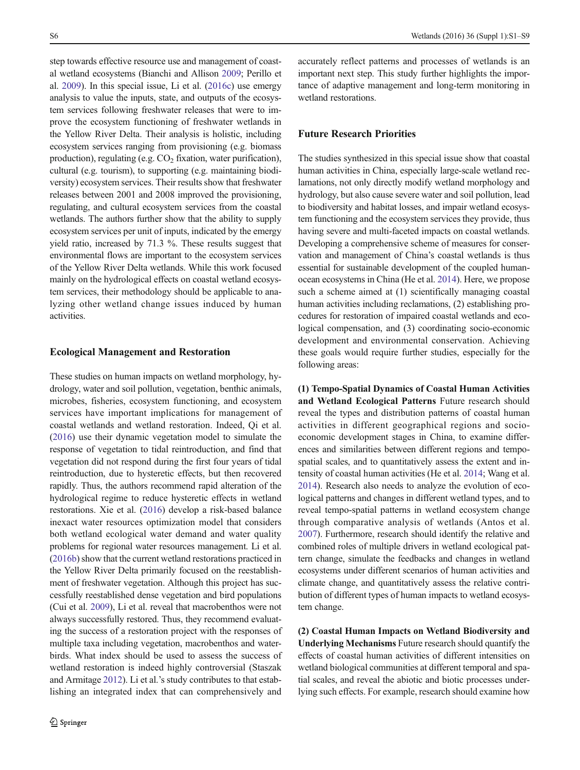step towards effective resource use and management of coastal wetland ecosystems (Bianchi and Allison [2009](#page-6-0); Perillo et al. [2009](#page-7-0)). In this special issue, Li et al. ([2016c](#page-7-0)) use emergy analysis to value the inputs, state, and outputs of the ecosystem services following freshwater releases that were to improve the ecosystem functioning of freshwater wetlands in the Yellow River Delta. Their analysis is holistic, including ecosystem services ranging from provisioning (e.g. biomass production), regulating (e.g.  $CO<sub>2</sub>$  fixation, water purification), cultural (e.g. tourism), to supporting (e.g. maintaining biodiversity) ecosystem services. Their results show that freshwater releases between 2001 and 2008 improved the provisioning, regulating, and cultural ecosystem services from the coastal wetlands. The authors further show that the ability to supply ecosystem services per unit of inputs, indicated by the emergy yield ratio, increased by 71.3 %. These results suggest that environmental flows are important to the ecosystem services of the Yellow River Delta wetlands. While this work focused mainly on the hydrological effects on coastal wetland ecosystem services, their methodology should be applicable to analyzing other wetland change issues induced by human activities.

#### Ecological Management and Restoration

These studies on human impacts on wetland morphology, hydrology, water and soil pollution, vegetation, benthic animals, microbes, fisheries, ecosystem functioning, and ecosystem services have important implications for management of coastal wetlands and wetland restoration. Indeed, Qi et al. [\(2016\)](#page-7-0) use their dynamic vegetation model to simulate the response of vegetation to tidal reintroduction, and find that vegetation did not respond during the first four years of tidal reintroduction, due to hysteretic effects, but then recovered rapidly. Thus, the authors recommend rapid alteration of the hydrological regime to reduce hysteretic effects in wetland restorations. Xie et al. ([2016](#page-7-0)) develop a risk-based balance inexact water resources optimization model that considers both wetland ecological water demand and water quality problems for regional water resources management. Li et al. [\(2016b\)](#page-7-0) show that the current wetland restorations practiced in the Yellow River Delta primarily focused on the reestablishment of freshwater vegetation. Although this project has successfully reestablished dense vegetation and bird populations (Cui et al. [2009\)](#page-7-0), Li et al. reveal that macrobenthos were not always successfully restored. Thus, they recommend evaluating the success of a restoration project with the responses of multiple taxa including vegetation, macrobenthos and waterbirds. What index should be used to assess the success of wetland restoration is indeed highly controversial (Staszak and Armitage [2012\)](#page-7-0). Li et al.'s study contributes to that establishing an integrated index that can comprehensively and

accurately reflect patterns and processes of wetlands is an important next step. This study further highlights the importance of adaptive management and long-term monitoring in wetland restorations.

# Future Research Priorities

The studies synthesized in this special issue show that coastal human activities in China, especially large-scale wetland reclamations, not only directly modify wetland morphology and hydrology, but also cause severe water and soil pollution, lead to biodiversity and habitat losses, and impair wetland ecosystem functioning and the ecosystem services they provide, thus having severe and multi-faceted impacts on coastal wetlands. Developing a comprehensive scheme of measures for conservation and management of China's coastal wetlands is thus essential for sustainable development of the coupled humanocean ecosystems in China (He et al. [2014\)](#page-7-0). Here, we propose such a scheme aimed at (1) scientifically managing coastal human activities including reclamations, (2) establishing procedures for restoration of impaired coastal wetlands and ecological compensation, and (3) coordinating socio-economic development and environmental conservation. Achieving these goals would require further studies, especially for the following areas:

(1) Tempo-Spatial Dynamics of Coastal Human Activities and Wetland Ecological Patterns Future research should reveal the types and distribution patterns of coastal human activities in different geographical regions and socioeconomic development stages in China, to examine differences and similarities between different regions and tempospatial scales, and to quantitatively assess the extent and intensity of coastal human activities (He et al. [2014;](#page-7-0) Wang et al. [2014\)](#page-7-0). Research also needs to analyze the evolution of ecological patterns and changes in different wetland types, and to reveal tempo-spatial patterns in wetland ecosystem change through comparative analysis of wetlands (Antos et al. [2007\)](#page-6-0). Furthermore, research should identify the relative and combined roles of multiple drivers in wetland ecological pattern change, simulate the feedbacks and changes in wetland ecosystems under different scenarios of human activities and climate change, and quantitatively assess the relative contribution of different types of human impacts to wetland ecosystem change.

(2) Coastal Human Impacts on Wetland Biodiversity and Underlying Mechanisms Future research should quantify the effects of coastal human activities of different intensities on wetland biological communities at different temporal and spatial scales, and reveal the abiotic and biotic processes underlying such effects. For example, research should examine how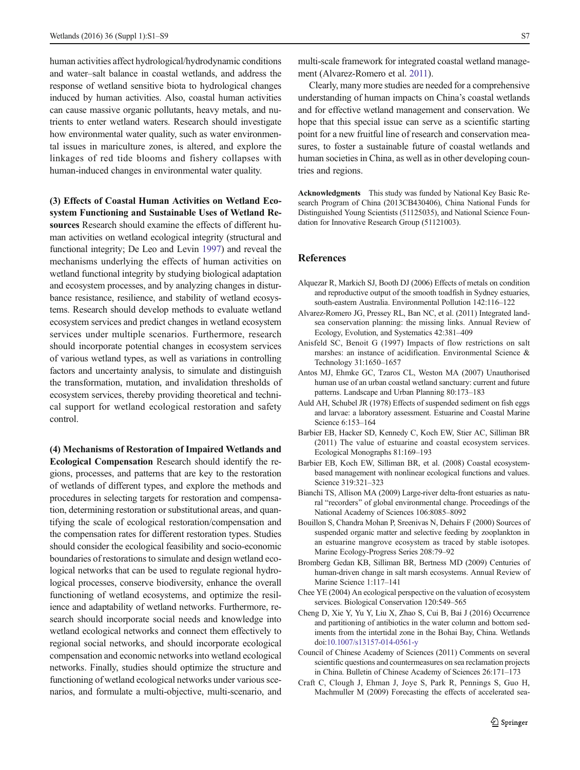<span id="page-6-0"></span>human activities affect hydrological/hydrodynamic conditions and water–salt balance in coastal wetlands, and address the response of wetland sensitive biota to hydrological changes induced by human activities. Also, coastal human activities can cause massive organic pollutants, heavy metals, and nutrients to enter wetland waters. Research should investigate how environmental water quality, such as water environmental issues in mariculture zones, is altered, and explore the linkages of red tide blooms and fishery collapses with human-induced changes in environmental water quality.

(3) Effects of Coastal Human Activities on Wetland Ecosystem Functioning and Sustainable Uses of Wetland Resources Research should examine the effects of different human activities on wetland ecological integrity (structural and functional integrity; De Leo and Levin [1997](#page-7-0)) and reveal the mechanisms underlying the effects of human activities on wetland functional integrity by studying biological adaptation and ecosystem processes, and by analyzing changes in disturbance resistance, resilience, and stability of wetland ecosystems. Research should develop methods to evaluate wetland ecosystem services and predict changes in wetland ecosystem services under multiple scenarios. Furthermore, research should incorporate potential changes in ecosystem services of various wetland types, as well as variations in controlling factors and uncertainty analysis, to simulate and distinguish the transformation, mutation, and invalidation thresholds of ecosystem services, thereby providing theoretical and technical support for wetland ecological restoration and safety control.

(4) Mechanisms of Restoration of Impaired Wetlands and Ecological Compensation Research should identify the regions, processes, and patterns that are key to the restoration of wetlands of different types, and explore the methods and procedures in selecting targets for restoration and compensation, determining restoration or substitutional areas, and quantifying the scale of ecological restoration/compensation and the compensation rates for different restoration types. Studies should consider the ecological feasibility and socio-economic boundaries of restorations to simulate and design wetland ecological networks that can be used to regulate regional hydrological processes, conserve biodiversity, enhance the overall functioning of wetland ecosystems, and optimize the resilience and adaptability of wetland networks. Furthermore, research should incorporate social needs and knowledge into wetland ecological networks and connect them effectively to regional social networks, and should incorporate ecological compensation and economic networks into wetland ecological networks. Finally, studies should optimize the structure and functioning of wetland ecological networks under various scenarios, and formulate a multi-objective, multi-scenario, and

multi-scale framework for integrated coastal wetland management (Alvarez-Romero et al. 2011).

Clearly, many more studies are needed for a comprehensive understanding of human impacts on China's coastal wetlands and for effective wetland management and conservation. We hope that this special issue can serve as a scientific starting point for a new fruitful line of research and conservation measures, to foster a sustainable future of coastal wetlands and human societies in China, as well as in other developing countries and regions.

Acknowledgments This study was funded by National Key Basic Research Program of China (2013CB430406), China National Funds for Distinguished Young Scientists (51125035), and National Science Foundation for Innovative Research Group (51121003).

## **References**

- Alquezar R, Markich SJ, Booth DJ (2006) Effects of metals on condition and reproductive output of the smooth toadfish in Sydney estuaries, south-eastern Australia. Environmental Pollution 142:116–122
- Alvarez-Romero JG, Pressey RL, Ban NC, et al. (2011) Integrated landsea conservation planning: the missing links. Annual Review of Ecology, Evolution, and Systematics 42:381–409
- Anisfeld SC, Benoit G (1997) Impacts of flow restrictions on salt marshes: an instance of acidification. Environmental Science & Technology 31:1650–1657
- Antos MJ, Ehmke GC, Tzaros CL, Weston MA (2007) Unauthorised human use of an urban coastal wetland sanctuary: current and future patterns. Landscape and Urban Planning 80:173–183
- Auld AH, Schubel JR (1978) Effects of suspended sediment on fish eggs and larvae: a laboratory assessment. Estuarine and Coastal Marine Science 6:153–164
- Barbier EB, Hacker SD, Kennedy C, Koch EW, Stier AC, Silliman BR (2011) The value of estuarine and coastal ecosystem services. Ecological Monographs 81:169–193
- Barbier EB, Koch EW, Silliman BR, et al. (2008) Coastal ecosystembased management with nonlinear ecological functions and values. Science 319:321–323
- Bianchi TS, Allison MA (2009) Large-river delta-front estuaries as natural "recorders" of global environmental change. Proceedings of the National Academy of Sciences 106:8085–8092
- Bouillon S, Chandra Mohan P, Sreenivas N, Dehairs F (2000) Sources of suspended organic matter and selective feeding by zooplankton in an estuarine mangrove ecosystem as traced by stable isotopes. Marine Ecology-Progress Series 208:79–92
- Bromberg Gedan KB, Silliman BR, Bertness MD (2009) Centuries of human-driven change in salt marsh ecosystems. Annual Review of Marine Science 1:117–141
- Chee YE (2004) An ecological perspective on the valuation of ecosystem services. Biological Conservation 120:549–565
- Cheng D, Xie Y, Yu Y, Liu X, Zhao S, Cui B, Bai J (2016) Occurrence and partitioning of antibiotics in the water column and bottom sediments from the intertidal zone in the Bohai Bay, China. Wetlands doi:[10.1007/s13157-014-0561-y](http://dx.doi.org/10.1007/s13157-014-0561-y)
- Council of Chinese Academy of Sciences (2011) Comments on several scientific questions and countermeasures on sea reclamation projects in China. Bulletin of Chinese Academy of Sciences 26:171–173
- Craft C, Clough J, Ehman J, Joye S, Park R, Pennings S, Guo H, Machmuller M (2009) Forecasting the effects of accelerated sea-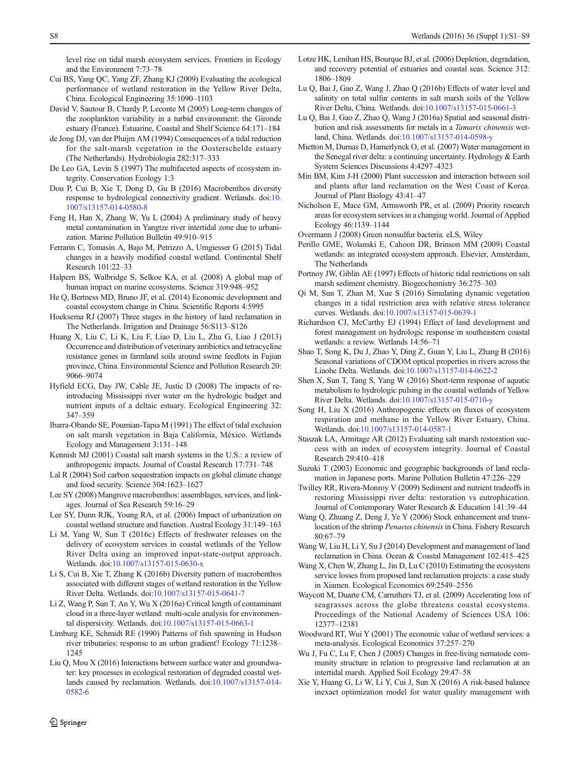<span id="page-7-0"></span>level rise on tidal marsh ecosystem services. Frontiers in Ecology and the Environment 7:73–78

- Cui BS, Yang QC, Yang ZF, Zhang KJ (2009) Evaluating the ecological performance of wetland restoration in the Yellow River Delta, China. Ecological Engineering 35:1090–1103
- David V, Sautour B, Chardy P, Leconte M (2005) Long-term changes of the zooplankton variability in a turbid environment: the Gironde estuary (France). Estuarine, Coastal and Shelf Science 64:171–184
- de Jong DJ, van der Pluijm AM (1994) Consequences of a tidal reduction for the salt-marsh vegetation in the Oosterschelde estuary (The Netherlands). Hydrobiologia 282:317–333
- De Leo GA, Levin S (1997) The multifaceted aspects of ecosystem integrity. Conservation Ecology 1:3
- Dou P, Cui B, Xie T, Dong D, Gu B (2016) Macrobenthos diversity response to hydrological connectivity gradient. Wetlands. doi:[10.](http://dx.doi.org/10.1007/s13157-014-0580-8) [1007/s13157-014-0580-8](http://dx.doi.org/10.1007/s13157-014-0580-8)
- Feng H, Han X, Zhang W, Yu L (2004) A preliminary study of heavy metal contamination in Yangtze river intertidal zone due to urbanization. Marine Pollution Bulletin 49:910–915
- Ferrarin C, Tomasin A, Bajo M, Petrizzo A, Umgiesser G (2015) Tidal changes in a heavily modified coastal wetland. Continental Shelf Research 101:22–33
- Halpern BS, Walbridge S, Selkoe KA, et al. (2008) A global map of human impact on marine ecosystems. Science 319:948–952
- He Q, Bertness MD, Bruno JF, et al. (2014) Economic development and coastal ecosystem change in China. Scientific Reports 4:5995
- Hoeksema RJ (2007) Three stages in the history of land reclamation in The Netherlands. Irrigation and Drainage 56:S113–S126
- Huang X, Liu C, Li K, Liu F, Liao D, Liu L, Zhu G, Liao J (2013) Occurrence and distribution of veterinary antibiotics and tetracycline resistance genes in farmland soils around swine feedlots in Fujian province, China. Environmental Science and Pollution Research 20: 9066–9074
- Hyfield ECG, Day JW, Cable JE, Justic D (2008) The impacts of reintroducing Mississippi river water on the hydrologic budget and nutrient inputs of a deltaic estuary. Ecological Engineering 32: 347–359
- Ibarra-Obando SE, Poumian-Tapia M (1991) The effect of tidal exclusion on salt marsh vegetation in Baja California, México. Wetlands Ecology and Management 3:131–148
- Kennish MJ (2001) Coastal salt marsh systems in the U.S.: a review of anthropogenic impacts. Journal of Coastal Research 17:731–748
- Lal R (2004) Soil carbon sequestration impacts on global climate change and food security. Science 304:1623–1627
- Lee SY (2008) Mangrove macrobenthos: assemblages, services, and linkages. Journal of Sea Research 59:16–29
- Lee SY, Dunn RJK, Young RA, et al. (2006) Impact of urbanization on coastal wetland structure and function. Austral Ecology 31:149–163
- Li M, Yang W, Sun T (2016c) Effects of freshwater releases on the delivery of ecosystem services in coastal wetlands of the Yellow River Delta using an improved input-state-output approach. Wetlands. doi[:10.1007/s13157-015-0630-x](http://dx.doi.org/10.1007/s13157-015-0630-x)
- Li S, Cui B, Xie T, Zhang K (2016b) Diversity pattern of macrobenthos associated with different stages of wetland restoration in the Yellow River Delta. Wetlands. doi[:10.1007/s13157-015-0641-7](http://dx.doi.org/10.1007/s13157-015-0641-7)
- Li Z, Wang P, Sun T, An Y, Wu X (2016a) Critical length of contaminant cloud in a three-layer wetland: multi-scale analysis for environmental dispersivity. Wetlands. doi[:10.1007/s13157-015-0663-1](http://dx.doi.org/10.1007/s13157-015-0663-1)
- Limburg KE, Schmidt RE (1990) Patterns of fish spawning in Hudson river tributaries: response to an urban gradient? Ecology 71:1238– 1245
- Liu Q, Mou X (2016) Interactions between surface water and groundwater: key processes in ecological restoration of degraded coastal wetlands caused by reclamation. Wetlands. doi[:10.1007/s13157-014-](http://dx.doi.org/10.1007/s13157-014-0582-6) [0582-6](http://dx.doi.org/10.1007/s13157-014-0582-6)
- Lu Q, Bai J, Gao Z, Wang J, Zhao Q (2016b) Effects of water level and salinity on total sulfur contents in salt marsh soils of the Yellow River Delta, China. Wetlands. doi:[10.1007/s13157-015-0661-3](http://dx.doi.org/10.1007/s13157-015-0661-3)
- Lu Q, Bai J, Gao Z, Zhao Q, Wang J (2016a) Spatial and seasonal distribution and risk assessments for metals in a Tamarix chinensis wetland, China. Wetlands. doi:[10.1007/s13157-014-0598-y](http://dx.doi.org/10.1007/s13157-014-0598-y)
- Mietton M, Dumas D, Hamerlynck O, et al. (2007) Water management in the Senegal river delta: a continuing uncertainty. Hydrology & Earth System Sciences Discussions 4:4297–4323
- Min BM, Kim J-H (2000) Plant succession and interaction between soil and plants after land reclamation on the West Coast of Korea. Journal of Plant Biology 43:41–47
- Nicholson E, Mace GM, Armsworth PR, et al. (2009) Priority research areas for ecosystem services in a changing world. Journal of Applied Ecology 46:1139–1144

Overmann J (2008) Green nonsulfur bacteria. eLS, Wiley

- Perillo GME, Wolanski E, Cahoon DR, Brinson MM (2009) Coastal wetlands: an integrated ecosystem approach. Elsevier, Amsterdam, The Netherlands
- Portnoy JW, Giblin AE (1997) Effects of historic tidal restrictions on salt marsh sediment chemistry. Biogeochemistry 36:275–303
- Qi M, Sun T, Zhan M, Xue S (2016) Simulating dynamic vegetation changes in a tidal restriction area with relative stress tolerance curves. Wetlands. doi:[10.1007/s13157-015-0639-1](http://dx.doi.org/10.1007/s13157-015-0639-1)
- Richardson CJ, McCarthy EJ (1994) Effect of land development and forest management on hydrologic response in southeastern coastal wetlands: a review. Wetlands 14:56–71
- Shao T, Song K, Du J, Zhao Y, Ding Z, Guan Y, Liu L, Zhang B (2016) Seasonal variations of CDOM optical properties in rivers across the Liaohe Delta. Wetlands. doi[:10.1007/s13157-014-0622-2](http://dx.doi.org/10.1007/s13157-014-0622-2)
- Shen X, Sun T, Tang S, Yang W (2016) Short-term response of aquatic metabolism to hydrologic pulsing in the coastal wetlands of Yellow River Delta. Wetlands. doi:[10.1007/s13157-015-0710-y](http://dx.doi.org/10.1007/s13157-015-0710-y)
- Song H, Liu X (2016) Anthropogenic effects on fluxes of ecosystem respiration and methane in the Yellow River Estuary, China. Wetlands. doi[:10.1007/s13157-014-0587-1](http://dx.doi.org/10.1007/s13157-014-0587-1)
- Staszak LA, Armitage AR (2012) Evaluating salt marsh restoration success with an index of ecosystem integrity. Journal of Coastal Research 29:410–418
- Suzuki T (2003) Economic and geographic backgrounds of land reclamation in Japanese ports. Marine Pollution Bulletin 47:226–229
- Twilley RR, Rivera-Monroy V (2009) Sediment and nutrient tradeoffs in restoring Mississippi river delta: restoration vs eutrophication. Journal of Contemporary Water Research & Education 141:39–44
- Wang Q, Zhuang Z, Deng J, Ye Y (2006) Stock enhancement and translocation of the shrimp Penaeus chinensis in China. Fishery Research 80:67–79
- Wang W, Liu H, Li Y, Su J (2014) Development and management of land reclamation in China. Ocean & Coastal Management 102:415–425
- Wang X, Chen W, Zhang L, Jin D, Lu C (2010) Estimating the ecosystem service losses from proposed land reclamation projects: a case study in Xiamen. Ecological Economics 69:2549–2556
- Waycott M, Duarte CM, Carruthers TJ, et al. (2009) Accelerating loss of seagrasses across the globe threatens coastal ecosystems. Proceedings of the National Academy of Sciences USA 106: 12377–12381
- Woodward RT, Wui Y (2001) The economic value of wetland services: a meta-analysis. Ecological Economics 37:257–270
- Wu J, Fu C, Lu F, Chen J (2005) Changes in free-living nematode community structure in relation to progressive land reclamation at an intertidal marsh. Applied Soil Ecology 29:47–58
- Xie Y, Huang G, Li W, Li Y, Cui J, Sun X (2016) A risk-based balance inexact optimization model for water quality management with